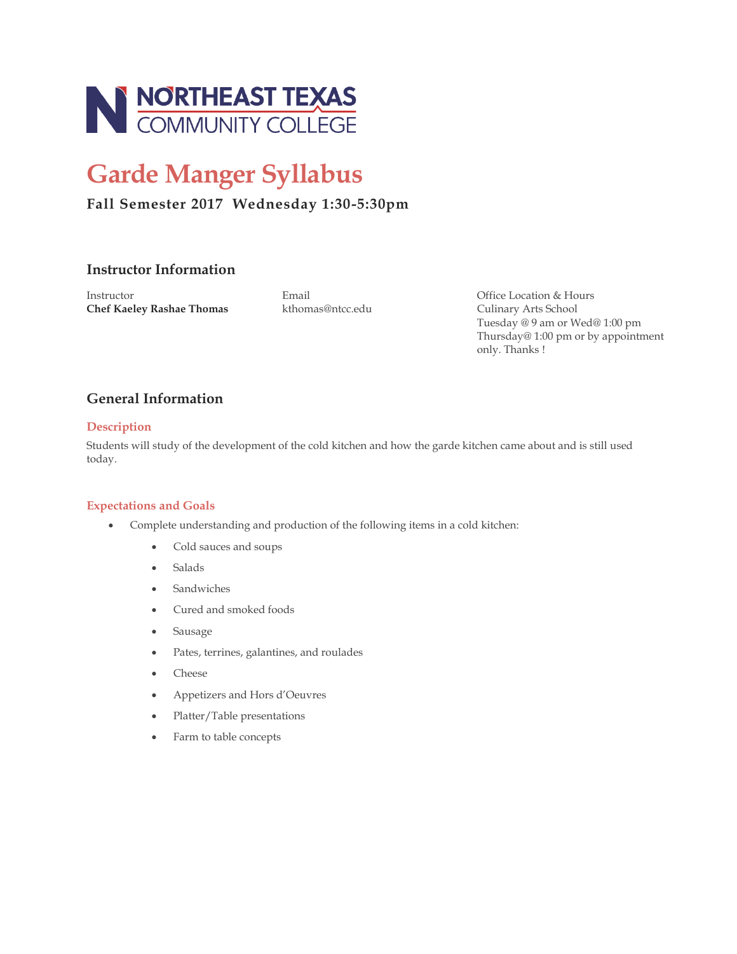

# **Garde Manger Syllabus**

# **Fall Semester 2017 Wednesday 1:30-5:30pm**

# **Instructor Information**

Instructor Email Office Location & Hours **Chef Kaeley Rashae Thomas** kthomas@ntcc.edu Culinary Arts School

Tuesday @ 9 am or Wed@ 1:00 pm Thursday@ 1:00 pm or by appointment only. Thanks !

# **General Information**

## **Description**

Students will study of the development of the cold kitchen and how the garde kitchen came about and is still used today.

## **Expectations and Goals**

- Complete understanding and production of the following items in a cold kitchen:
	- Cold sauces and soups
	- Salads
	- Sandwiches
	- Cured and smoked foods
	- Sausage
	- Pates, terrines, galantines, and roulades
	- Cheese
	- Appetizers and Hors d'Oeuvres
	- Platter/Table presentations
	- Farm to table concepts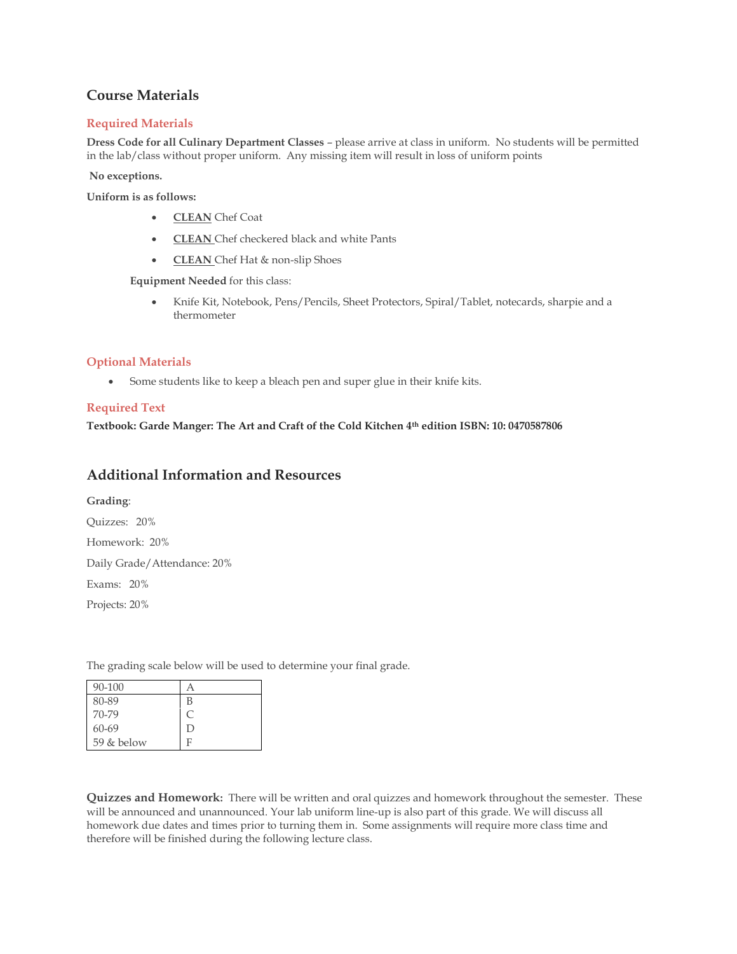# **Course Materials**

## **Required Materials**

**Dress Code for all Culinary Department Classes** – please arrive at class in uniform. No students will be permitted in the lab/class without proper uniform. Any missing item will result in loss of uniform points

#### **No exceptions.**

**Uniform is as follows:**

- **CLEAN** Chef Coat
- **CLEAN** Chef checkered black and white Pants
- **CLEAN** Chef Hat & non-slip Shoes

**Equipment Needed** for this class:

• Knife Kit, Notebook, Pens/Pencils, Sheet Protectors, Spiral/Tablet, notecards, sharpie and a thermometer

### **Optional Materials**

• Some students like to keep a bleach pen and super glue in their knife kits.

## **Required Text**

**Textbook: Garde Manger: The Art and Craft of the Cold Kitchen 4th edition ISBN: 10: 0470587806**

# **Additional Information and Resources**

**Grading**: Quizzes: 20% Homework: 20% Daily Grade/Attendance: 20% Exams: 20% Projects: 20%

The grading scale below will be used to determine your final grade.

| 90-100       |   |
|--------------|---|
| 80-89        | В |
| 70-79        | C |
| $60 - 69$    | D |
| $59$ & below | F |

**Quizzes and Homework:** There will be written and oral quizzes and homework throughout the semester. These will be announced and unannounced. Your lab uniform line-up is also part of this grade. We will discuss all homework due dates and times prior to turning them in. Some assignments will require more class time and therefore will be finished during the following lecture class.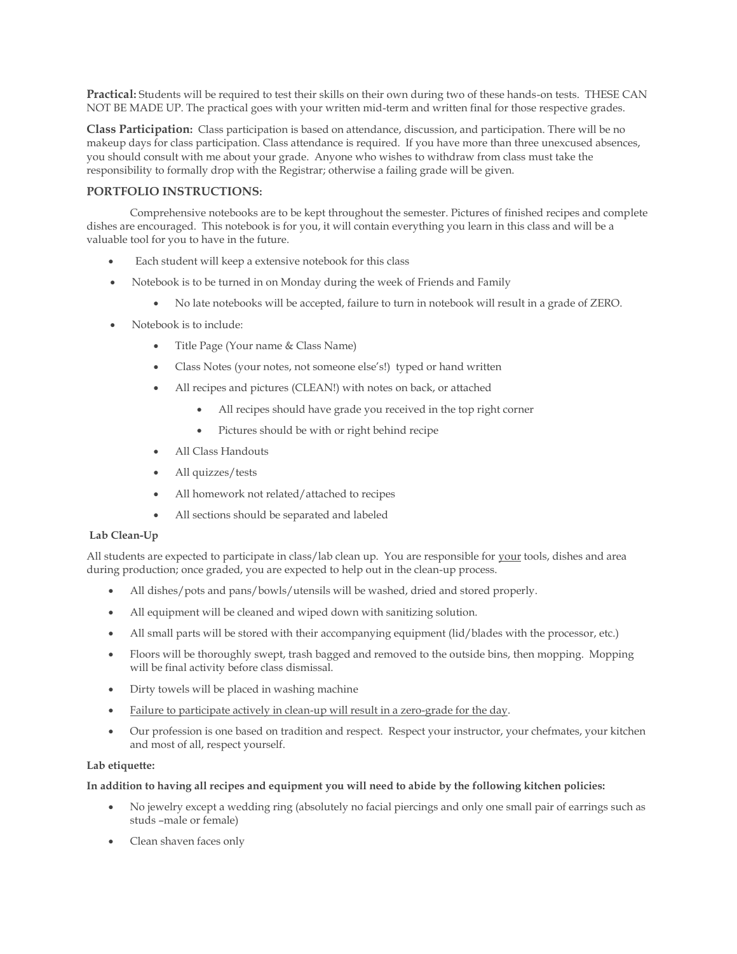**Practical:** Students will be required to test their skills on their own during two of these hands-on tests. THESE CAN NOT BE MADE UP. The practical goes with your written mid-term and written final for those respective grades.

**Class Participation:** Class participation is based on attendance, discussion, and participation. There will be no makeup days for class participation. Class attendance is required. If you have more than three unexcused absences, you should consult with me about your grade. Anyone who wishes to withdraw from class must take the responsibility to formally drop with the Registrar; otherwise a failing grade will be given.

### **PORTFOLIO INSTRUCTIONS:**

Comprehensive notebooks are to be kept throughout the semester. Pictures of finished recipes and complete dishes are encouraged. This notebook is for you, it will contain everything you learn in this class and will be a valuable tool for you to have in the future.

- Each student will keep a extensive notebook for this class
- Notebook is to be turned in on Monday during the week of Friends and Family
	- No late notebooks will be accepted, failure to turn in notebook will result in a grade of ZERO.
- Notebook is to include:
	- Title Page (Your name & Class Name)
	- Class Notes (your notes, not someone else's!) typed or hand written
	- All recipes and pictures (CLEAN!) with notes on back, or attached
		- All recipes should have grade you received in the top right corner
		- Pictures should be with or right behind recipe
	- All Class Handouts
	- All quizzes/tests
	- All homework not related/attached to recipes
	- All sections should be separated and labeled

#### **Lab Clean-Up**

All students are expected to participate in class/lab clean up. You are responsible for your tools, dishes and area during production; once graded, you are expected to help out in the clean-up process.

- All dishes/pots and pans/bowls/utensils will be washed, dried and stored properly.
- All equipment will be cleaned and wiped down with sanitizing solution.
- All small parts will be stored with their accompanying equipment (lid/blades with the processor, etc.)
- Floors will be thoroughly swept, trash bagged and removed to the outside bins, then mopping. Mopping will be final activity before class dismissal.
- Dirty towels will be placed in washing machine
- Failure to participate actively in clean-up will result in a zero-grade for the day.
- Our profession is one based on tradition and respect. Respect your instructor, your chefmates, your kitchen and most of all, respect yourself.

#### **Lab etiquette:**

#### **In addition to having all recipes and equipment you will need to abide by the following kitchen policies:**

- No jewelry except a wedding ring (absolutely no facial piercings and only one small pair of earrings such as studs –male or female)
- Clean shaven faces only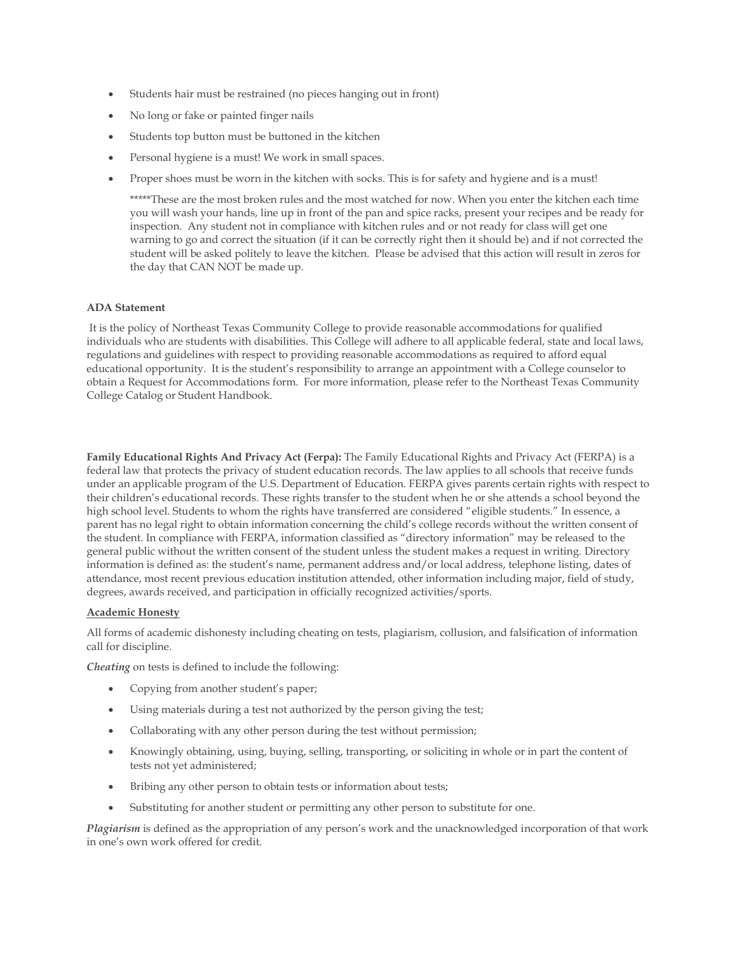- Students hair must be restrained (no pieces hanging out in front)
- No long or fake or painted finger nails
- Students top button must be buttoned in the kitchen
- Personal hygiene is a must! We work in small spaces.
- Proper shoes must be worn in the kitchen with socks. This is for safety and hygiene and is a must!

\*\*\*\*\*These are the most broken rules and the most watched for now. When you enter the kitchen each time you will wash your hands, line up in front of the pan and spice racks, present your recipes and be ready for inspection. Any student not in compliance with kitchen rules and or not ready for class will get one warning to go and correct the situation (if it can be correctly right then it should be) and if not corrected the student will be asked politely to leave the kitchen. Please be advised that this action will result in zeros for the day that CAN NOT be made up.

#### **ADA Statement**

It is the policy of Northeast Texas Community College to provide reasonable accommodations for qualified individuals who are students with disabilities. This College will adhere to all applicable federal, state and local laws, regulations and guidelines with respect to providing reasonable accommodations as required to afford equal educational opportunity. It is the student's responsibility to arrange an appointment with a College counselor to obtain a Request for Accommodations form. For more information, please refer to the Northeast Texas Community College Catalog or Student Handbook.

**Family Educational Rights And Privacy Act (Ferpa):** The Family Educational Rights and Privacy Act (FERPA) is a federal law that protects the privacy of student education records. The law applies to all schools that receive funds under an applicable program of the U.S. Department of Education. FERPA gives parents certain rights with respect to their children's educational records. These rights transfer to the student when he or she attends a school beyond the high school level. Students to whom the rights have transferred are considered "eligible students." In essence, a parent has no legal right to obtain information concerning the child's college records without the written consent of the student. In compliance with FERPA, information classified as "directory information" may be released to the general public without the written consent of the student unless the student makes a request in writing. Directory information is defined as: the student's name, permanent address and/or local address, telephone listing, dates of attendance, most recent previous education institution attended, other information including major, field of study, degrees, awards received, and participation in officially recognized activities/sports.

#### **Academic Honesty**

All forms of academic dishonesty including cheating on tests, plagiarism, collusion, and falsification of information call for discipline.

*Cheating* on tests is defined to include the following:

- Copying from another student's paper;
- Using materials during a test not authorized by the person giving the test;
- Collaborating with any other person during the test without permission;
- Knowingly obtaining, using, buying, selling, transporting, or soliciting in whole or in part the content of tests not yet administered;
- Bribing any other person to obtain tests or information about tests;
- Substituting for another student or permitting any other person to substitute for one.

*Plagiarism* is defined as the appropriation of any person's work and the unacknowledged incorporation of that work in one's own work offered for credit.